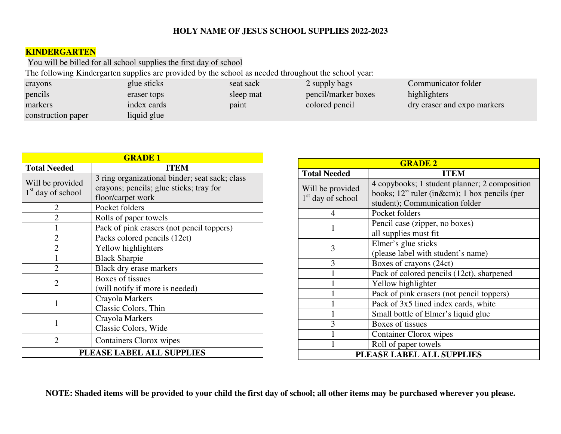## **HOLY NAME OF JESUS SCHOOL SUPPLIES 2022-2023**

## **KINDERGARTEN**

You will be billed for all school supplies the first day of school

The following Kindergarten supplies are provided by the school as needed throughout the school year:

| crayons            | glue sticks | seat sack | 2 supply bags       | Communicator folder         |
|--------------------|-------------|-----------|---------------------|-----------------------------|
| pencils            | eraser tops | sleep mat | pencil/marker boxes | highlighters                |
| markers            | index cards | paint     | colored pencil      | dry eraser and expo markers |
| construction paper | liquid glue |           |                     |                             |

| <b>GRADE 1</b>                          |                                                                                                                |  |
|-----------------------------------------|----------------------------------------------------------------------------------------------------------------|--|
| <b>Total Needed</b>                     | <b>ITEM</b>                                                                                                    |  |
| Will be provided<br>$1st$ day of school | 3 ring organizational binder; seat sack; class<br>crayons; pencils; glue sticks; tray for<br>floor/carpet work |  |
| $\overline{2}$                          | Pocket folders                                                                                                 |  |
| $\mathfrak{D}$                          | Rolls of paper towels                                                                                          |  |
|                                         | Pack of pink erasers (not pencil toppers)                                                                      |  |
| $\overline{2}$                          | Packs colored pencils (12ct)                                                                                   |  |
| $\overline{2}$                          | Yellow highlighters                                                                                            |  |
| 1                                       | <b>Black Sharpie</b>                                                                                           |  |
| $\overline{2}$                          | Black dry erase markers                                                                                        |  |
| $\overline{2}$                          | Boxes of tissues<br>(will notify if more is needed)                                                            |  |
| 1                                       | Crayola Markers<br>Classic Colors, Thin                                                                        |  |
| 1                                       | Crayola Markers<br>Classic Colors, Wide                                                                        |  |
| $\mathcal{D}_{\mathcal{L}}$             | Containers Clorox wipes                                                                                        |  |
| PLEASE LABEL ALL SUPPLIES               |                                                                                                                |  |

| <b>GRADE 2</b>                          |                                                                                                                                 |  |
|-----------------------------------------|---------------------------------------------------------------------------------------------------------------------------------|--|
| <b>Total Needed</b>                     | <b>ITEM</b>                                                                                                                     |  |
| Will be provided<br>$1st$ day of school | 4 copybooks; 1 student planner; 2 composition<br>books; 12" ruler (in&cm); 1 box pencils (per<br>student); Communication folder |  |
| 4                                       | Pocket folders                                                                                                                  |  |
| 1                                       | Pencil case (zipper, no boxes)<br>all supplies must fit                                                                         |  |
| 3                                       | Elmer's glue sticks<br>(please label with student's name)                                                                       |  |
| 3                                       | Boxes of crayons (24ct)                                                                                                         |  |
|                                         | Pack of colored pencils (12ct), sharpened                                                                                       |  |
|                                         | Yellow highlighter                                                                                                              |  |
|                                         | Pack of pink erasers (not pencil toppers)                                                                                       |  |
|                                         | Pack of 3x5 lined index cards, white                                                                                            |  |
| 1                                       | Small bottle of Elmer's liquid glue                                                                                             |  |
| 3                                       | Boxes of tissues                                                                                                                |  |
|                                         | Container Clorox wipes                                                                                                          |  |
|                                         | Roll of paper towels                                                                                                            |  |
| PLEASE LABEL ALL SUPPLIES               |                                                                                                                                 |  |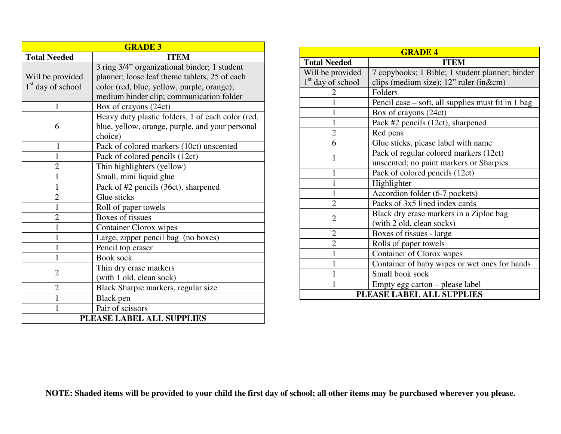| <b>GRADE 3</b>            |                                                   |  |
|---------------------------|---------------------------------------------------|--|
| <b>Total Needed</b>       | <b>ITEM</b>                                       |  |
|                           | 3 ring 3/4" organizational binder; 1 student      |  |
| Will be provided          | planner; loose leaf theme tablets, 25 of each     |  |
| $1st$ day of school       | color (red, blue, yellow, purple, orange);        |  |
|                           | medium binder clip; communication folder          |  |
| 1                         | Box of crayons (24ct)                             |  |
|                           | Heavy duty plastic folders, 1 of each color (red, |  |
| 6                         | blue, yellow, orange, purple, and your personal   |  |
|                           | choice)                                           |  |
| 1                         | Pack of colored markers (10ct) unscented          |  |
| 1                         | Pack of colored pencils (12ct)                    |  |
| $\overline{2}$            | Thin highlighters (yellow)                        |  |
| 1                         | Small, mini liquid glue                           |  |
| 1                         | Pack of #2 pencils (36ct), sharpened              |  |
| $\overline{2}$            | Glue sticks                                       |  |
| $\mathbf{1}$              | Roll of paper towels                              |  |
| $\overline{2}$            | Boxes of tissues                                  |  |
| 1                         | <b>Container Clorox wipes</b>                     |  |
| 1                         | Large, zipper pencil bag (no boxes)               |  |
| 1                         | Pencil top eraser                                 |  |
| 1                         | <b>Book sock</b>                                  |  |
| $\overline{2}$            | Thin dry erase markers                            |  |
|                           | (with 1 old, clean sock)                          |  |
| $\overline{2}$            | Black Sharpie markers, regular size               |  |
| $\mathbf{1}$              | Black pen                                         |  |
| 1                         | Pair of scissors                                  |  |
| PLEASE LABEL ALL SUPPLIES |                                                   |  |

| <b>GRADE 4</b>                |                                                    |  |
|-------------------------------|----------------------------------------------------|--|
| <b>Total Needed</b>           | <b>ITEM</b>                                        |  |
| Will be provided              | 7 copybooks; 1 Bible; 1 student planner; binder    |  |
| 1 <sup>st</sup> day of school | clips (medium size); 12" ruler (in&cm)             |  |
| $\mathbf{Z}$                  | Folders                                            |  |
|                               | Pencil case – soft, all supplies must fit in 1 bag |  |
|                               | Box of crayons (24ct)                              |  |
| 1                             | Pack #2 pencils (12ct), sharpened                  |  |
| $\overline{2}$                | Red pens                                           |  |
| 6                             | Glue sticks, please label with name                |  |
| 1                             | Pack of regular colored markers (12ct)             |  |
|                               | unscented; no paint markers or Sharpies            |  |
| 1                             | Pack of colored pencils (12ct)                     |  |
| 1                             | Highlighter                                        |  |
| 1                             | Accordion folder (6-7 pockets)                     |  |
| $\overline{2}$                | Packs of 3x5 lined index cards                     |  |
| $\overline{2}$                | Black dry erase markers in a Ziploc bag            |  |
|                               | (with 2 old, clean socks)                          |  |
| $\overline{2}$                | Boxes of tissues - large                           |  |
| $\overline{2}$                | Rolls of paper towels                              |  |
| $\mathbf{1}$                  | Container of Clorox wipes                          |  |
| $\mathbf{1}$                  | Container of baby wipes or wet ones for hands      |  |
| 1                             | Small book sock                                    |  |
| 1                             | Empty egg carton – please label                    |  |
| PLEASE LABEL ALL SUPPLIES     |                                                    |  |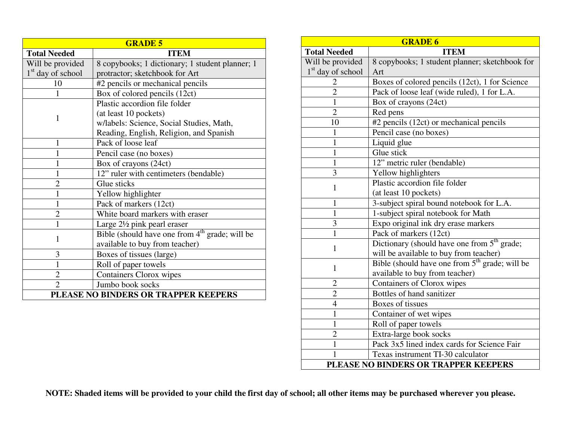| <b>GRADE 5</b>                       |                                                            |  |
|--------------------------------------|------------------------------------------------------------|--|
| <b>Total Needed</b>                  | <b>ITEM</b>                                                |  |
| Will be provided                     | 8 copybooks; 1 dictionary; 1 student planner; 1            |  |
| $1st$ day of school                  | protractor; sketchbook for Art                             |  |
| 10                                   | #2 pencils or mechanical pencils                           |  |
| 1                                    | Box of colored pencils (12ct)                              |  |
|                                      | Plastic accordion file folder                              |  |
| $\mathbf{1}$                         | (at least 10 pockets)                                      |  |
|                                      | w/labels: Science, Social Studies, Math,                   |  |
|                                      | Reading, English, Religion, and Spanish                    |  |
| 1                                    | Pack of loose leaf                                         |  |
| 1                                    | Pencil case (no boxes)                                     |  |
| 1                                    | Box of crayons (24ct)                                      |  |
| 1                                    | 12" ruler with centimeters (bendable)                      |  |
| $\overline{2}$                       | Glue sticks                                                |  |
| 1                                    | Yellow highlighter                                         |  |
| 1                                    | Pack of markers (12ct)                                     |  |
| $\overline{2}$                       | White board markers with eraser                            |  |
| 1                                    | Large $2\frac{1}{2}$ pink pearl eraser                     |  |
| $\mathbf{1}$                         | Bible (should have one from 4 <sup>th</sup> grade; will be |  |
|                                      | available to buy from teacher)                             |  |
| 3                                    | Boxes of tissues (large)                                   |  |
| $\mathbf{1}$                         | Roll of paper towels                                       |  |
| $\overline{2}$                       | <b>Containers Clorox wipes</b>                             |  |
| $\overline{2}$                       | Jumbo book socks                                           |  |
| PLEASE NO BINDERS OR TRAPPER KEEPERS |                                                            |  |

| <b>GRADE 6</b>                |                                                         |  |
|-------------------------------|---------------------------------------------------------|--|
| <b>Total Needed</b>           | <b>ITEM</b>                                             |  |
| Will be provided              | 8 copybooks; 1 student planner; sketchbook for          |  |
| 1 <sup>st</sup> day of school | Art                                                     |  |
| $\overline{2}$                | Boxes of colored pencils (12ct), 1 for Science          |  |
| $\overline{2}$                | Pack of loose leaf (wide ruled), 1 for L.A.             |  |
| $\mathbf{1}$                  | Box of crayons (24ct)                                   |  |
| $\overline{2}$                | Red pens                                                |  |
| 10                            | #2 pencils (12ct) or mechanical pencils                 |  |
| $\mathbf{1}$                  | Pencil case (no boxes)                                  |  |
| $\mathbf{1}$                  | Liquid glue                                             |  |
| $\mathbf{1}$                  | Glue stick                                              |  |
| $\mathbf{1}$                  | 12" metric ruler (bendable)                             |  |
| 3                             | Yellow highlighters                                     |  |
| $\mathbf{1}$                  | Plastic accordion file folder                           |  |
|                               | (at least 10 pockets)                                   |  |
| $\mathbf{1}$                  | 3-subject spiral bound notebook for L.A.                |  |
| $\mathbf{1}$                  | 1-subject spiral notebook for Math                      |  |
| 3                             | Expo original ink dry erase markers                     |  |
| $\mathbf{1}$                  | Pack of markers (12ct)                                  |  |
| $\mathbf{1}$                  | Dictionary (should have one from 5 <sup>th</sup> grade; |  |
|                               | will be available to buy from teacher)                  |  |
| $\mathbf{1}$                  | Bible (should have one from $5th$ grade; will be        |  |
|                               | available to buy from teacher)                          |  |
| $\overline{2}$                | Containers of Clorox wipes                              |  |
| $\overline{2}$                | Bottles of hand sanitizer                               |  |
| $\overline{4}$                | Boxes of tissues                                        |  |
| $\mathbf{1}$                  | Container of wet wipes                                  |  |
| $\mathbf{1}$                  | Roll of paper towels                                    |  |
| $\overline{2}$                | Extra-large book socks                                  |  |
| $\mathbf{1}$                  | Pack 3x5 lined index cards for Science Fair             |  |
| 1                             | Texas instrument TI-30 calculator                       |  |
|                               | PLEASE NO BINDERS OR TRAPPER KEEPERS                    |  |